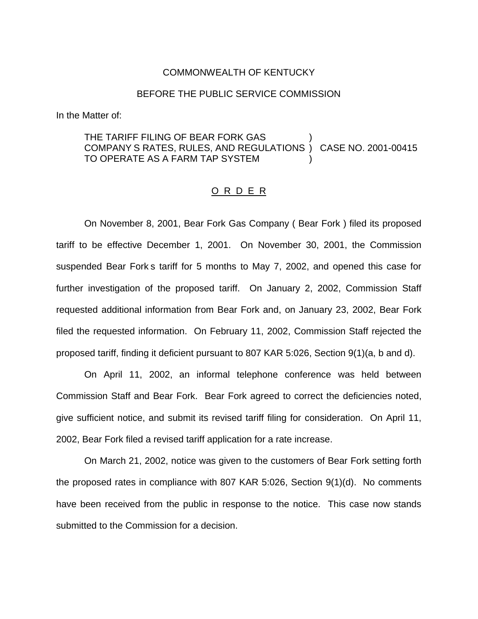#### COMMONWEALTH OF KENTUCKY

### BEFORE THE PUBLIC SERVICE COMMISSION

In the Matter of:

# THE TARIFF FILING OF BEAR FORK GAS COMPANY S RATES, RULES, AND REGULATIONS ) CASE NO. 2001-00415 TO OPERATE AS A FARM TAP SYSTEM )

#### O R D E R

On November 8, 2001, Bear Fork Gas Company ( Bear Fork ) filed its proposed tariff to be effective December 1, 2001. On November 30, 2001, the Commission suspended Bear Fork s tariff for 5 months to May 7, 2002, and opened this case for further investigation of the proposed tariff. On January 2, 2002, Commission Staff requested additional information from Bear Fork and, on January 23, 2002, Bear Fork filed the requested information. On February 11, 2002, Commission Staff rejected the proposed tariff, finding it deficient pursuant to 807 KAR 5:026, Section 9(1)(a, b and d).

On April 11, 2002, an informal telephone conference was held between Commission Staff and Bear Fork. Bear Fork agreed to correct the deficiencies noted, give sufficient notice, and submit its revised tariff filing for consideration. On April 11, 2002, Bear Fork filed a revised tariff application for a rate increase.

On March 21, 2002, notice was given to the customers of Bear Fork setting forth the proposed rates in compliance with 807 KAR 5:026, Section 9(1)(d). No comments have been received from the public in response to the notice. This case now stands submitted to the Commission for a decision.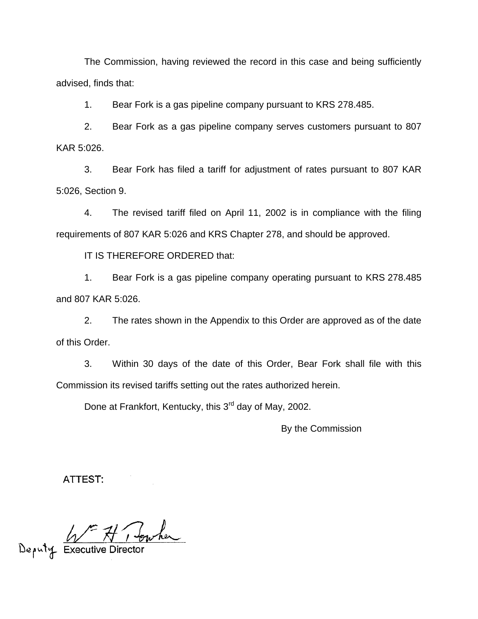The Commission, having reviewed the record in this case and being sufficiently advised, finds that:

1. Bear Fork is a gas pipeline company pursuant to KRS 278.485.

2. Bear Fork as a gas pipeline company serves customers pursuant to 807 KAR 5:026.

3. Bear Fork has filed a tariff for adjustment of rates pursuant to 807 KAR 5:026, Section 9.

4. The revised tariff filed on April 11, 2002 is in compliance with the filing requirements of 807 KAR 5:026 and KRS Chapter 278, and should be approved.

IT IS THEREFORE ORDERED that:

1. Bear Fork is a gas pipeline company operating pursuant to KRS 278.485 and 807 KAR 5:026.

2. The rates shown in the Appendix to this Order are approved as of the date of this Order.

3. Within 30 days of the date of this Order, Bear Fork shall file with this Commission its revised tariffs setting out the rates authorized herein.

Done at Frankfort, Kentucky, this 3<sup>rd</sup> day of May, 2002.

By the Commission

ATTEST:

Deputy Executive Director